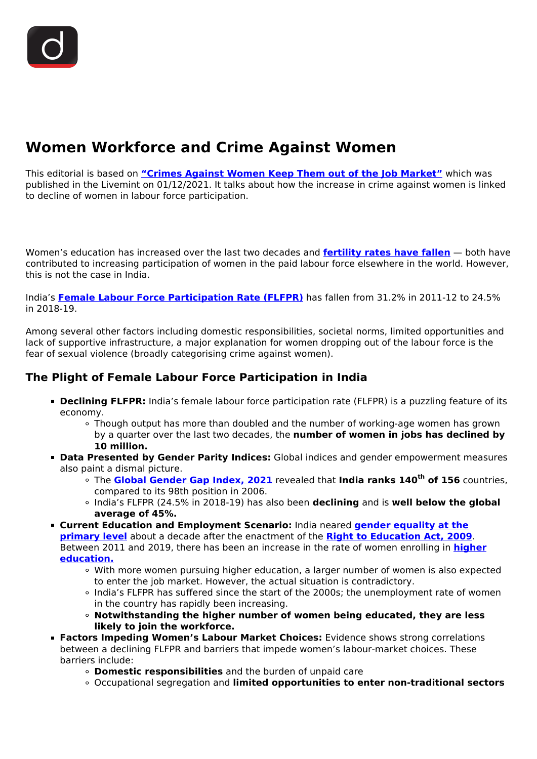# **Women Workforce and Crime Against Women**

This editorial is based on **["Crimes Against Women Keep Them out of the Job Market"](https://www.livemint.com/opinion/online-views/crimes-against-women-keep-them-out-of-the-job-market-11638379868560.html)** which was published in the Livemint on 01/12/2021. It talks about how the increase in crime against women is linked to decline of women in labour force participation.

Women's education has increased over the last two decades and **[fertility rates have fallen](/daily-updates/daily-news-analysis/india-s-declining-total-fertility-rate#:~:text=Due%20to%20the%20sustained%20family,and%202.1%20in%20rural%20India.)** — both have contributed to increasing participation of women in the paid labour force elsewhere in the world. However, this is not the case in India.

India's **[Female Labour Force Participation Rate \(FLFPR\)](/daily-updates/daily-news-editorials/female-labor-force-participation-in-india)** has fallen from 31.2% in 2011-12 to 24.5% in 2018-19.

Among several other factors including domestic responsibilities, societal norms, limited opportunities and lack of supportive infrastructure, a major explanation for women dropping out of the labour force is the fear of sexual violence (broadly categorising crime against women).

### **The Plight of Female Labour Force Participation in India**

- **Declining FLFPR:** India's female labour force participation rate (FLFPR) is a puzzling feature of its economy.
	- Though output has more than doubled and the number of working-age women has grown by a quarter over the last two decades, the **number of women in jobs has declined by 10 million.**
- **Data Presented by Gender Parity Indices:** Global indices and gender empowerment measures also paint a dismal picture.
	- The **[Global Gender Gap Index, 2021](/daily-updates/daily-news-analysis/global-gender-gap-report-2021-wef)** revealed that **India ranks 140th of 156** countries, compared to its 98th position in 2006.
	- India's FLFPR (24.5% in 2018-19) has also been **declining** and is **well below the global average of 45%.**
- **Current Education and Employment Scenario:** India neared **[gender equality at the](/printpdf/gender-parity-index-unesco) [primary level](/printpdf/gender-parity-index-unesco)** about a decade after the enactment of the **[Right to Education Act, 2009](/to-the-points/Paper2/right-to-education)**. Between 2011 and 2019, there has been an increase in the rate of women enrolling in **[higher](/daily-updates/daily-news-analysis/girls-drop-out-of-higher-education) [education.](/daily-updates/daily-news-analysis/girls-drop-out-of-higher-education)**
	- With more women pursuing higher education, a larger number of women is also expected to enter the job market. However, the actual situation is contradictory.
	- India's FLFPR has suffered since the start of the 2000s; the unemployment rate of women in the country has rapidly been increasing.
	- **Notwithstanding the higher number of women being educated, they are less likely to join the workforce.**
- **Factors Impeding Women's Labour Market Choices:** Evidence shows strong correlations between a declining FLFPR and barriers that impede women's labour-market choices. These barriers include:
	- **Domestic responsibilities** and the burden of unpaid care
	- Occupational segregation and **limited opportunities to enter non-traditional sectors**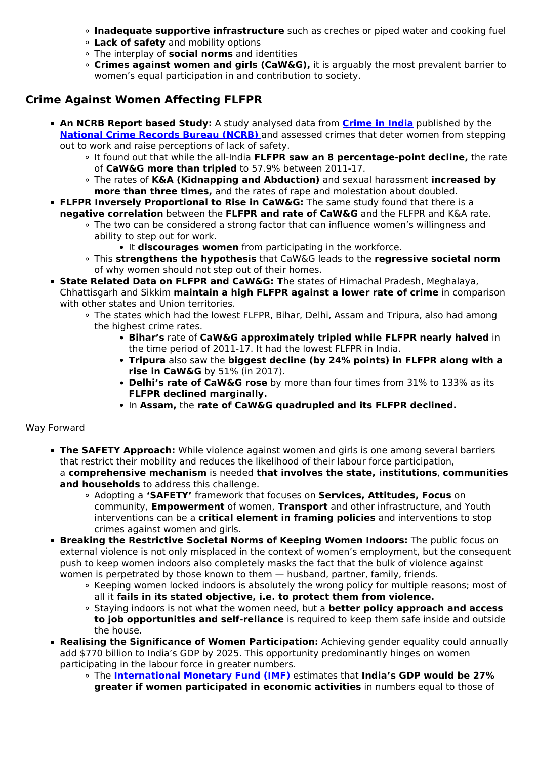- **Inadequate supportive infrastructure** such as creches or piped water and cooking fuel
- **Lack of safety** and mobility options
- The interplay of **social norms** and identities
- **Crimes against women and girls (CaW&G),** it is arguably the most prevalent barrier to women's equal participation in and contribution to society.

## **Crime Against Women Affecting FLFPR**

- **An NCRB Report based Study:** A study analysed data from **[Crime in India](/daily-updates/daily-news-analysis/crime-in-india-report-2020-ncrb)** published by the **[National Crime Records Bureau \(NCRB\)](/daily-updates/daily-news-analysis/crime-in-india-2019-report-ncrb)** [a](/daily-updates/daily-news-analysis/crime-in-india-2019-report-ncrb)nd assessed crimes that deter women from stepping out to work and raise perceptions of lack of safety.
	- It found out that while the all-India **FLFPR saw an 8 percentage-point decline,** the rate of **CaW&G more than tripled** to 57.9% between 2011-17.
	- The rates of **K&A (Kidnapping and Abduction)** and sexual harassment **increased by more than three times,** and the rates of rape and molestation about doubled.
- **FLFPR Inversely Proportional to Rise in CaW&G:** The same study found that there is a **negative correlation** between the **FLFPR and rate of CaW&G** and the FLFPR and K&A rate.
	- The two can be considered a strong factor that can influence women's willingness and ability to step out for work.
		- **It discourages women** from participating in the workforce.
	- This **strengthens the hypothesis** that CaW&G leads to the **regressive societal norm** of why women should not step out of their homes.
- **State Related Data on FLFPR and CaW&G: T**he states of Himachal Pradesh, Meghalaya, Chhattisgarh and Sikkim **maintain a high FLFPR against a lower rate of crime** in comparison with other states and Union territories.
	- The states which had the lowest FLFPR, Bihar, Delhi, Assam and Tripura, also had among the highest crime rates.
		- **Bihar's** rate of **CaW&G approximately tripled while FLFPR nearly halved** in the time period of 2011-17. It had the lowest FLFPR in India.
		- **Tripura** also saw the **biggest decline (by 24% points) in FLFPR along with a rise in CaW&G** by 51% (in 2017).
		- **Delhi's rate of CaW&G rose** by more than four times from 31% to 133% as its **FLFPR declined marginally.**
		- In **Assam,** the **rate of CaW&G quadrupled and its FLFPR declined.**

Way Forward

- **The SAFETY Approach:** While violence against women and girls is one among several barriers that restrict their mobility and reduces the likelihood of their labour force participation, a **comprehensive mechanism** is needed **that involves the state, institutions**, **communities and households** to address this challenge.
	- Adopting a **'SAFETY'** framework that focuses on **Services, Attitudes, Focus** on community, **Empowerment** of women, **Transport** and other infrastructure, and Youth interventions can be a **critical element in framing policies** and interventions to stop crimes against women and girls.
- **Breaking the Restrictive Societal Norms of Keeping Women Indoors:** The public focus on external violence is not only misplaced in the context of women's employment, but the consequent push to keep women indoors also completely masks the fact that the bulk of violence against women is perpetrated by those known to them — husband, partner, family, friends.
	- Keeping women locked indoors is absolutely the wrong policy for multiple reasons; most of all it **fails in its stated objective, i.e. to protect them from violence.**
	- Staying indoors is not what the women need, but a **better policy approach and access to job opportunities and self-reliance** is required to keep them safe inside and outside the house.
- **Realising the Significance of Women Participation:** Achieving gender equality could annually add \$770 billion to India's GDP by 2025. This opportunity predominantly hinges on women participating in the labour force in greater numbers.
	- The **[International Monetary Fund \(IMF\)](/important-institutions/drishti-specials-important-institutions-international-institution/international-monetary-fund-imf)** estimates that **India's GDP would be 27% greater if women participated in economic activities** in numbers equal to those of